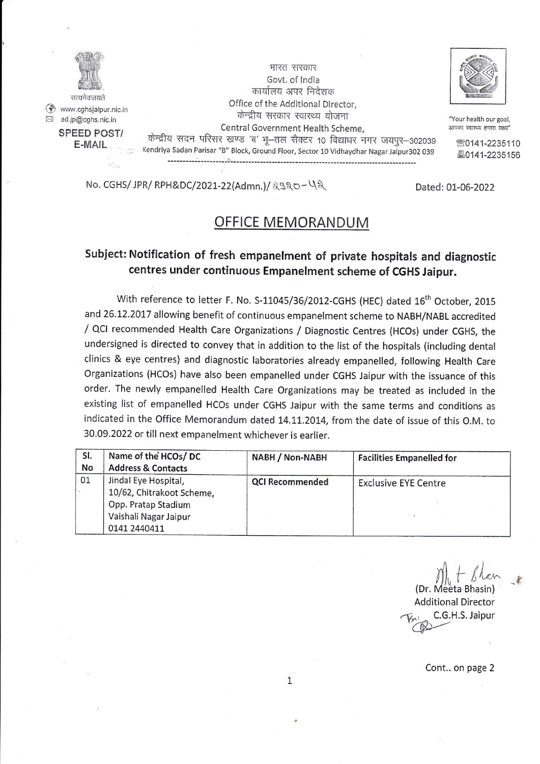

@ www.cghsjaipur.nic.in **El** ad.jp@cghs.nic.in SPEED POST/ E-MAIL

भारत सरकार Govt. of lndia कार्यालय अपर निदेशक Office of the Additional Director, केन्द्रीय सरकार स्वास्थ्य योजना Central Government Health Scheme,<br>केन्द्रीय सदन परिसर खण्ड 'ब' भू–तल सैक्टर 10 विद्याधर नगर जयपुर-302039 Kendriya Sadan Parisar "B" Block, Ground Floor, Sector 10 Vidhaydhar Nagar Jaipur302 039



"Your health our goal, आपका स्वास्थ्य हमारा त्नक्ष्य'

> **80141-2235110** au41-2235156

No. CGHS/ JPR/ RPH&DC/2021-22(Admn.)/  $230 - 42$ <br>Dated: 01-06-2022

## OFFICE MEMORANDUM

## Subject: Notification of fresh empanelment of private hospitals and diagnostic centres under continuous Empanelment scheme of CGHS Jaipur.

With reference to letter F. No. S-11045/36/2012-CGHS (HEC) dated 16<sup>th</sup> October, 2015 and 26.12.2017 allowing benefit of continuous empanelment scheme to NABH/NABL accredited / QCI recommended Health care organizations / Diagnostic centres (HCos) under CGHS, the undersigned is directed to convey that in addition to the list of the hospitals (including dental clinics & eye centres) and diagnostic laboratories already empanelled, following Health care Organizations (HCOs) have also been empanelled under CGHS Jaipur with the issuance of this order. The newly empanelled Health care organizations may be treated as included in the existing list of empanelled HCos under cGHs Jaipur with the same terms and conditions as indicated in the Office Memorandum dated 14.11.2014, from the date of issue of this O.M. to 30.09.2022 or till next empanelment whichever is earlier.

| SI.<br>No | Name of the HCOs/DC<br><b>Address &amp; Contacts</b>                                                              | NABH / Non-NABH        | <b>Facilities Empanelled for</b> |
|-----------|-------------------------------------------------------------------------------------------------------------------|------------------------|----------------------------------|
| 01        | Jindal Eye Hospital,<br>10/62, Chitrakoot Scheme,<br>Opp. Pratap Stadium<br>Vaishali Nagar Jaipur<br>0141 2440411 | <b>QCI Recommended</b> | <b>Exclusive EYE Centre</b>      |

(Dr. Meeta Bhasin) Additional Director C.G.H.S. Jaipur

Cont.. on page 2